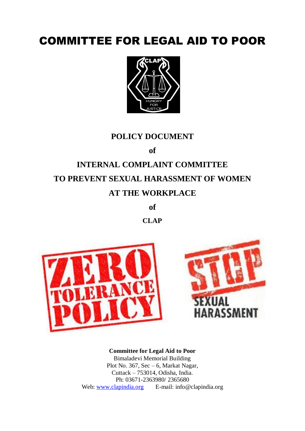# COMMITTEE FOR LEGAL AID TO POOR



# **POLICY DOCUMENT**

**of**

# **INTERNAL COMPLAINT COMMITTEE TO PREVENT SEXUAL HARASSMENT OF WOMEN AT THE WORKPLACE**

**of**

**CLAP**





**Committee for Legal Aid to Poor** Bimaladevi Memorial Building Plot No. 367, Sec – 6, Markat Nagar, Cuttack – 753014, Odisha, India. Ph: 03671-2363980/ 2365680 Web: [www.clapindia.org](http://www.clapindia.org/) E-mail: info@clapindia.org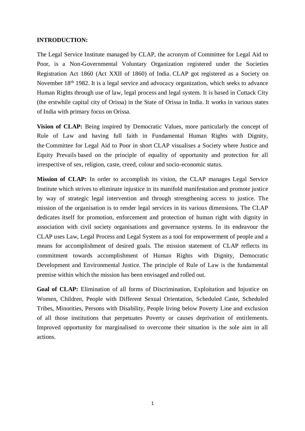#### **INTRODUCTION:**

The Legal Service Institute managed by CLAP, the acronym of Committee for Legal Aid to Poor, is a Non-Governmental Voluntary Organization registered under the Societies Registration Act 1860 (Act XXII of 1860) of India. CLAP got registered as a Society on November 18th 1982. It is a legal service and advocacy organization, which seeks to advance Human Rights through use of law, legal process and legal system. It is based in Cuttack City (the erstwhile capital city of Orissa) in the State of Orissa in India. It works in various states of India with primary focus on Orissa.

**Vision of CLAP:** Being inspired by Democratic Values, more particularly the concept of Rule of Law and having full faith in Fundamental Human Rights with Dignity, the Committee for Legal Aid to Poor in short CLAP visualises a Society where Justice and Equity Prevails based on the principle of equality of opportunity and protection for all irrespective of sex, religion, caste, creed, colour and socio-economic status.

**Mission of CLAP:** In order to accomplish its vision, the CLAP manages Legal Service Institute which strives to eliminate injustice in its manifold manifestation and promote justice by way of strategic legal intervention and through strengthening access to justice. The mission of the organisation is to render legal services in its various dimensions. The CLAP dedicates itself for promotion, enforcement and protection of human right with dignity in association with civil society organisations and governance systems. In its endeavour the CLAP uses Law, Legal Process and Legal System as a tool for empowerment of people and a means for accomplishment of desired goals. The mission statement of CLAP reflects its commitment towards accomplishment of Human Rights with Dignity, Democratic Development and Environmental Justice. The principle of Rule of Law is the fundamental premise within which the mission has been envisaged and rolled out.

**Goal of CLAP:** Elimination of all forms of Discrimination, Exploitation and Injustice on Women, Children, People with Different Sexual Orientation, Scheduled Caste, Scheduled Tribes, Minorities, Persons with Disability, People living below Poverty Line and exclusion of all those institutions that perpetuates Poverty or causes deprivation of entitlements. Improved opportunity for marginalised to overcome their situation is the sole aim in all actions.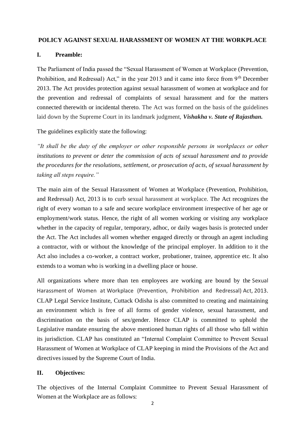#### **POLICY AGAINST SEXUAL HARASSMENT OF WOMEN AT THE WORKPLACE**

# **I. Preamble:**

The Parliament of India passed the "Sexual Harassment of Women at Workplace (Prevention, Prohibition, and Redressal) Act," in the year 2013 and it came into force from 9<sup>th</sup> December 2013. The Act provides protection against sexual harassment of women at workplace and for the prevention and redressal of complaints of sexual harassment and for the matters connected therewith or incidental thereto. The Act was formed on the basis of the guidelines laid down by the Supreme Court in its landmark judgment, *Vishakha v. State of Rajasthan.*

The guidelines explicitly state the following:

*"It shall be the duty of the employer or other responsible persons in workplaces or other institutions to prevent or deter the commission of acts of sexual harassment and to provide the procedures for the resolutions, settlement, or prosecution of acts, of sexual harassment by taking all steps require."*

The main aim of the Sexual Harassment of Women at Workplace (Prevention, Prohibition, and Redressal) Act, 2013 is to curb sexual harassment at workplace. The Act recognizes the right of every woman to a safe and secure workplace environment irrespective of her age or employment/work status. Hence, the right of all women working or visiting any workplace whether in the capacity of regular, temporary, adhoc, or daily wages basis is protected under the Act. The Act includes all women whether engaged directly or through an agent including a contractor, with or without the knowledge of the principal employer. In addition to it the Act also includes a co-worker, a contract worker, probationer, trainee, apprentice etc. It also extends to a woman who is working in a dwelling place or house.

All organizations where more than ten employees are working are bound by the Sexual Harassment of Women at Workplace (Prevention, Prohibition and Redressal) Act, 2013. CLAP Legal Service Institute, Cuttack Odisha is also committed to creating and maintaining an environment which is free of all forms of gender violence, sexual harassment, and discrimination on the basis of sex/gender. Hence CLAP is committed to uphold the Legislative mandate ensuring the above mentioned human rights of all those who fall within its jurisdiction. CLAP has constituted an "Internal Complaint Committee to Prevent Sexual Harassment of Women at Workplace of CLAP keeping in mind the Provisions of the Act and directives issued by the Supreme Court of India.

#### **II. Objectives:**

The objectives of the Internal Complaint Committee to Prevent Sexual Harassment of Women at the Workplace are as follows: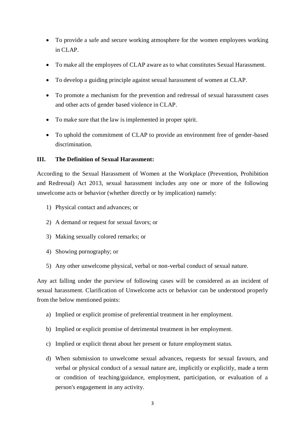- To provide a safe and secure working atmosphere for the women employees working in CLAP.
- To make all the employees of CLAP aware as to what constitutes Sexual Harassment.
- To develop a guiding principle against sexual harassment of women at CLAP.
- To promote a mechanism for the prevention and redressal of sexual harassment cases and other acts of gender based violence in CLAP.
- To make sure that the law is implemented in proper spirit.
- To uphold the commitment of CLAP to provide an environment free of gender-based discrimination.

# **III. The Definition of Sexual Harassment:**

According to the Sexual Harassment of Women at the Workplace (Prevention, Prohibition and Redressal) Act 2013, sexual harassment includes any one or more of the following unwelcome acts or behavior (whether directly or by implication) namely:

- 1) Physical contact and advances; or
- 2) A demand or request for sexual favors; or
- 3) Making sexually colored remarks; or
- 4) Showing pornography; or
- 5) Any other unwelcome physical, verbal or non-verbal conduct of sexual nature.

Any act falling under the purview of following cases will be considered as an incident of sexual harassment. Clarification of Unwelcome acts or behavior can be understood properly from the below mentioned points:

- a) Implied or explicit promise of preferential treatment in her employment.
- b) Implied or explicit promise of detrimental treatment in her employment.
- c) Implied or explicit threat about her present or future employment status.
- d) When submission to unwelcome sexual advances, requests for sexual favours, and verbal or physical conduct of a sexual nature are, implicitly or explicitly, made a term or condition of teaching/guidance, employment, participation, or evaluation of a person's engagement in any activity.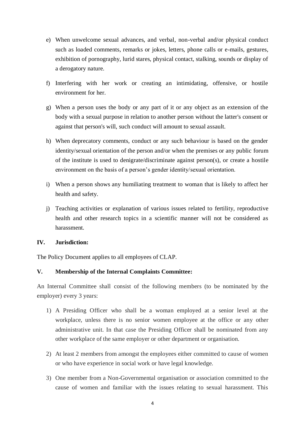- e) When unwelcome sexual advances, and verbal, non-verbal and/or physical conduct such as loaded comments, remarks or jokes, letters, phone calls or e-mails, gestures, exhibition of pornography, lurid stares, physical contact, stalking, sounds or display of a derogatory nature.
- f) Interfering with her work or creating an intimidating, offensive, or hostile environment for her.
- g) When a person uses the body or any part of it or any object as an extension of the body with a sexual purpose in relation to another person without the latter's consent or against that person's will, such conduct will amount to sexual assault.
- h) When deprecatory comments, conduct or any such behaviour is based on the gender identity/sexual orientation of the person and/or when the premises or any public forum of the institute is used to denigrate/discriminate against person(s), or create a hostile environment on the basis of a person's gender identity/sexual orientation.
- i) When a person shows any humiliating treatment to woman that is likely to affect her health and safety.
- j) Teaching activities or explanation of various issues related to fertility, reproductive health and other research topics in a scientific manner will not be considered as harassment.

#### **IV. Jurisdiction:**

The Policy Document applies to all employees of CLAP.

# **V. Membership of the Internal Complaints Committee:**

An Internal Committee shall consist of the following members (to be nominated by the employer) every 3 years:

- 1) A Presiding Officer who shall be a woman employed at a senior level at the workplace, unless there is no senior women employee at the office or any other administrative unit. In that case the Presiding Officer shall be nominated from any other workplace of the same employer or other department or organisation.
- 2) At least 2 members from amongst the employees either committed to cause of women or who have experience in social work or have legal knowledge.
- 3) One member from a Non-Governmental organisation or association committed to the cause of women and familiar with the issues relating to sexual harassment. This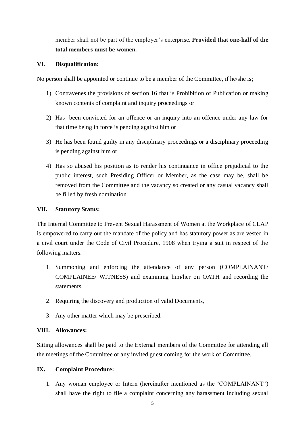member shall not be part of the employer's enterprise. **Provided that one-half of the total members must be women.**

# **VI. Disqualification:**

No person shall be appointed or continue to be a member of the Committee, if he/she is;

- 1) Contravenes the provisions of section 16 that is Prohibition of Publication or making known contents of complaint and inquiry proceedings or
- 2) Has been convicted for an offence or an inquiry into an offence under any law for that time being in force is pending against him or
- 3) He has been found guilty in any disciplinary proceedings or a disciplinary proceeding is pending against him or
- 4) Has so abused his position as to render his continuance in office prejudicial to the public interest, such Presiding Officer or Member, as the case may be, shall be removed from the Committee and the vacancy so created or any casual vacancy shall be filled by fresh nomination.

# **VII. Statutory Status:**

The Internal Committee to Prevent Sexual Harassment of Women at the Workplace of CLAP is empowered to carry out the mandate of the policy and has statutory power as are vested in a civil court under the Code of Civil Procedure, 1908 when trying a suit in respect of the following matters:

- 1. Summoning and enforcing the attendance of any person (COMPLAINANT/ COMPLAINEE/ WITNESS) and examining him/her on OATH and recording the statements,
- 2. Requiring the discovery and production of valid Documents,
- 3. Any other matter which may be prescribed.

#### **VIII. Allowances:**

Sitting allowances shall be paid to the External members of the Committee for attending all the meetings of the Committee or any invited guest coming for the work of Committee.

#### **IX. Complaint Procedure:**

1. Any woman employee or Intern (hereinafter mentioned as the 'COMPLAINANT') shall have the right to file a complaint concerning any harassment including sexual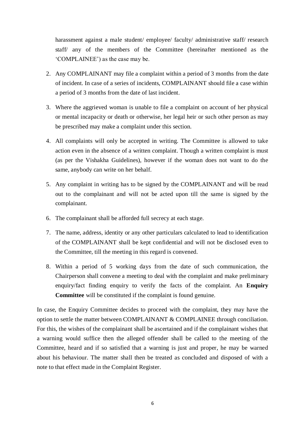harassment against a male student/ employee/ faculty/ administrative staff/ research staff/ any of the members of the Committee (hereinafter mentioned as the 'COMPLAINEE') as the case may be.

- 2. Any COMPLAINANT may file a complaint within a period of 3 months from the date of incident. In case of a series of incidents, COMPLAINANT should file a case within a period of 3 months from the date of last incident.
- 3. Where the aggrieved woman is unable to file a complaint on account of her physical or mental incapacity or death or otherwise, her legal heir or such other person as may be prescribed may make a complaint under this section.
- 4. All complaints will only be accepted in writing. The Committee is allowed to take action even in the absence of a written complaint. Though a written complaint is must (as per the Vishakha Guidelines), however if the woman does not want to do the same, anybody can write on her behalf.
- 5. Any complaint in writing has to be signed by the COMPLAINANT and will be read out to the complainant and will not be acted upon till the same is signed by the complainant.
- 6. The complainant shall be afforded full secrecy at each stage.
- 7. The name, address, identity or any other particulars calculated to lead to identification of the COMPLAINANT shall be kept confidential and will not be disclosed even to the Committee, till the meeting in this regard is convened.
- 8. Within a period of 5 working days from the date of such communication, the Chairperson shall convene a meeting to deal with the complaint and make preliminary enquiry/fact finding enquiry to verify the facts of the complaint. An **Enquiry Committee** will be constituted if the complaint is found genuine.

In case, the Enquiry Committee decides to proceed with the complaint, they may have the option to settle the matter between COMPLAINANT & COMPLAINEE through conciliation. For this, the wishes of the complainant shall be ascertained and if the complainant wishes that a warning would suffice then the alleged offender shall be called to the meeting of the Committee, heard and if so satisfied that a warning is just and proper, he may be warned about his behaviour. The matter shall then be treated as concluded and disposed of with a note to that effect made in the Complaint Register.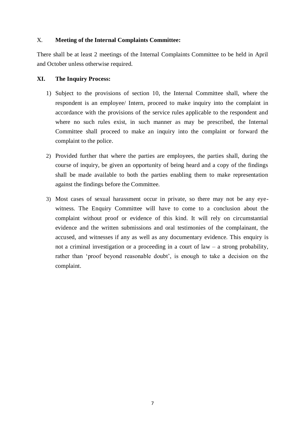# X. **Meeting of the Internal Complaints Committee:**

There shall be at least 2 meetings of the Internal Complaints Committee to be held in April and October unless otherwise required.

# **XI. The Inquiry Process:**

- 1) Subject to the provisions of section 10, the Internal Committee shall, where the respondent is an employee/ Intern, proceed to make inquiry into the complaint in accordance with the provisions of the service rules applicable to the respondent and where no such rules exist, in such manner as may be prescribed, the Internal Committee shall proceed to make an inquiry into the complaint or forward the complaint to the police.
- 2) Provided further that where the parties are employees, the parties shall, during the course of inquiry, be given an opportunity of being heard and a copy of the findings shall be made available to both the parties enabling them to make representation against the findings before the Committee.
- 3) Most cases of sexual harassment occur in private, so there may not be any eyewitness. The Enquiry Committee will have to come to a conclusion about the complaint without proof or evidence of this kind. It will rely on circumstantial evidence and the written submissions and oral testimonies of the complainant, the accused, and witnesses if any as well as any documentary evidence. This enquiry is not a criminal investigation or a proceeding in a court of  $law - a$  strong probability, rather than 'proof beyond reasonable doubt', is enough to take a decision on the complaint.